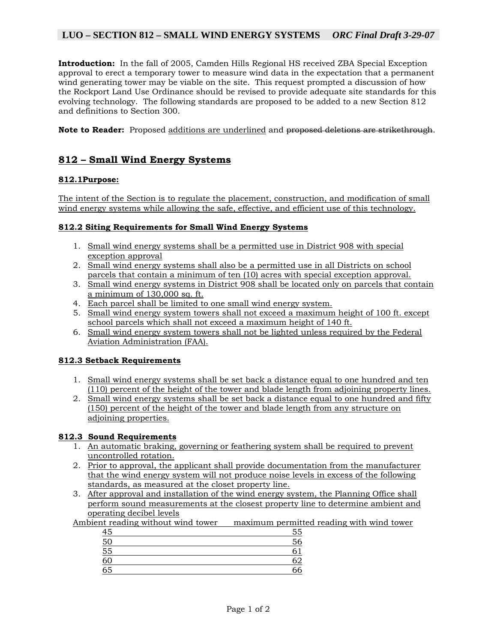# **LUO – SECTION 812 – SMALL WIND ENERGY SYSTEMS** *ORC Final Draft 3-29-07*

**Introduction:** In the fall of 2005, Camden Hills Regional HS received ZBA Special Exception approval to erect a temporary tower to measure wind data in the expectation that a permanent wind generating tower may be viable on the site. This request prompted a discussion of how the Rockport Land Use Ordinance should be revised to provide adequate site standards for this evolving technology. The following standards are proposed to be added to a new Section 812 and definitions to Section 300.

**Note to Reader:** Proposed additions are underlined and proposed deletions are strikethrough.

# **812 – Small Wind Energy Systems**

## **812.1Purpose:**

The intent of the Section is to regulate the placement, construction, and modification of small wind energy systems while allowing the safe, effective, and efficient use of this technology.

#### **812.2 Siting Requirements for Small Wind Energy Systems**

- 1. Small wind energy systems shall be a permitted use in District 908 with special exception approval
- 2. Small wind energy systems shall also be a permitted use in all Districts on school parcels that contain a minimum of ten (10) acres with special exception approval.
- 3. Small wind energy systems in District 908 shall be located only on parcels that contain a minimum of 130,000 sq. ft.
- 4. Each parcel shall be limited to one small wind energy system.
- 5. Small wind energy system towers shall not exceed a maximum height of 100 ft. except school parcels which shall not exceed a maximum height of 140 ft.
- 6. Small wind energy system towers shall not be lighted unless required by the Federal Aviation Administration (FAA).

## **812.3 Setback Requirements**

- 1. Small wind energy systems shall be set back a distance equal to one hundred and ten (110) percent of the height of the tower and blade length from adjoining property lines.
- 2. Small wind energy systems shall be set back a distance equal to one hundred and fifty (150) percent of the height of the tower and blade length from any structure on adjoining properties.

#### **812.3 Sound Requirements**

- 1. An automatic braking, governing or feathering system shall be required to prevent uncontrolled rotation.
- 2. Prior to approval, the applicant shall provide documentation from the manufacturer that the wind energy system will not produce noise levels in excess of the following standards, as measured at the closet property line.
- 3. After approval and installation of the wind energy system, the Planning Office shall perform sound measurements at the closest property line to determine ambient and operating decibel levels

Ambient reading without wind tower maximum permitted reading with wind tower

| 45 | 55 |
|----|----|
| 50 | 56 |
| 55 | n  |
| 60 | 62 |
| 65 | 66 |